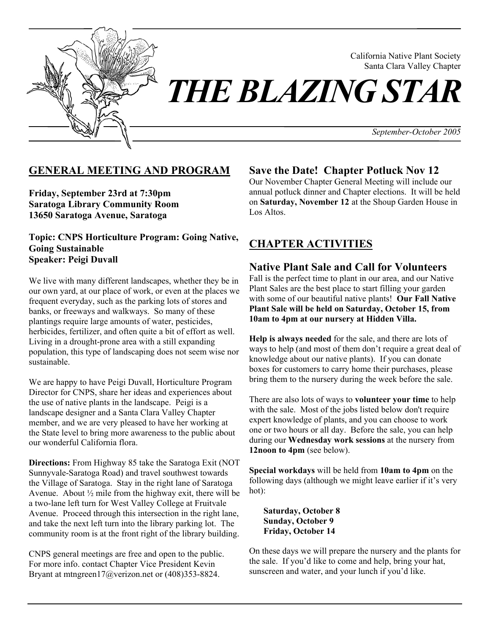

California Native Plant Society Santa Clara Valley Chapter

*THE BLAZING STAR* 

*September-October 2005* 

# **GENERAL MEETING AND PROGRAM**

**Friday, September 23rd at 7:30pm Saratoga Library Community Room 13650 Saratoga Avenue, Saratoga** 

**Topic: CNPS Horticulture Program: Going Native, Going Sustainable Speaker: Peigi Duvall** 

We live with many different landscapes, whether they be in our own yard, at our place of work, or even at the places we frequent everyday, such as the parking lots of stores and banks, or freeways and walkways. So many of these plantings require large amounts of water, pesticides, herbicides, fertilizer, and often quite a bit of effort as well. Living in a drought-prone area with a still expanding population, this type of landscaping does not seem wise nor sustainable.

We are happy to have Peigi Duvall, Horticulture Program Director for CNPS, share her ideas and experiences about the use of native plants in the landscape. Peigi is a landscape designer and a Santa Clara Valley Chapter member, and we are very pleased to have her working at the State level to bring more awareness to the public about our wonderful California flora.

**Directions:** From Highway 85 take the Saratoga Exit (NOT Sunnyvale-Saratoga Road) and travel southwest towards the Village of Saratoga. Stay in the right lane of Saratoga Avenue. About  $\frac{1}{2}$  mile from the highway exit, there will be a two-lane left turn for West Valley College at Fruitvale Avenue. Proceed through this intersection in the right lane, and take the next left turn into the library parking lot. The community room is at the front right of the library building.

CNPS general meetings are free and open to the public. For more info. contact Chapter Vice President Kevin Bryant at mtngreen17@verizon.net or (408)353-8824.

## **Save the Date! Chapter Potluck Nov 12**

Our November Chapter General Meeting will include our annual potluck dinner and Chapter elections. It will be held on **Saturday, November 12** at the Shoup Garden House in Los Altos.

# **CHAPTER ACTIVITIES**

# **Native Plant Sale and Call for Volunteers**

Fall is the perfect time to plant in our area, and our Native Plant Sales are the best place to start filling your garden with some of our beautiful native plants! **Our Fall Native Plant Sale will be held on Saturday, October 15, from 10am to 4pm at our nursery at Hidden Villa.**

**Help is always needed** for the sale, and there are lots of ways to help (and most of them don't require a great deal of knowledge about our native plants). If you can donate boxes for customers to carry home their purchases, please bring them to the nursery during the week before the sale.

There are also lots of ways to **volunteer your time** to help with the sale. Most of the jobs listed below don't require expert knowledge of plants, and you can choose to work one or two hours or all day. Before the sale, you can help during our **Wednesday work sessions** at the nursery from **12noon to 4pm** (see below).

**Special workdays** will be held from **10am to 4pm** on the following days (although we might leave earlier if it's very hot):

**Saturday, October 8 Sunday, October 9 Friday, October 14** 

On these days we will prepare the nursery and the plants for the sale. If you'd like to come and help, bring your hat, sunscreen and water, and your lunch if you'd like.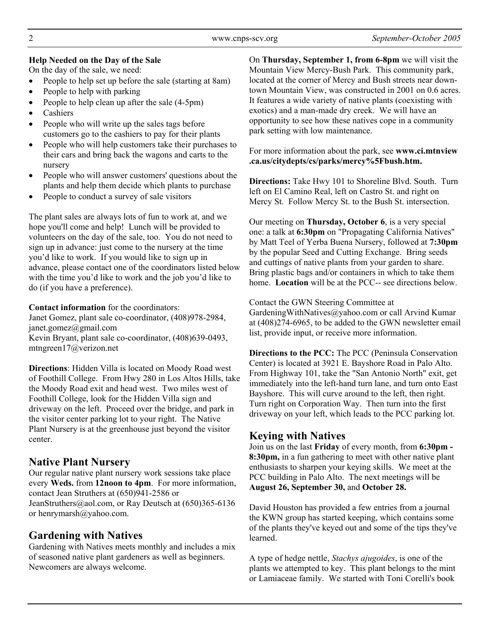#### **Help Needed on the Day of the Sale**

On the day of the sale, we need:

- People to help set up before the sale (starting at 8am)
- People to help with parking
- People to help clean up after the sale (4-5pm)
- **Cashiers**
- People who will write up the sales tags before customers go to the cashiers to pay for their plants
- People who will help customers take their purchases to their cars and bring back the wagons and carts to the nursery
- People who will answer customers' questions about the plants and help them decide which plants to purchase
- People to conduct a survey of sale visitors

The plant sales are always lots of fun to work at, and we hope you'll come and help! Lunch will be provided to volunteers on the day of the sale, too. You do not need to sign up in advance: just come to the nursery at the time you'd like to work. If you would like to sign up in advance, please contact one of the coordinators listed below with the time you'd like to work and the job you'd like to do (if you have a preference).

**Contact information** for the coordinators: Janet Gomez, plant sale co-coordinator, (408)978-2984, janet.gomez@gmail.com Kevin Bryant, plant sale co-coordinator, (408)639-0493,

mtngreen17@verizon.net

**Directions**: Hidden Villa is located on Moody Road west of Foothill College. From Hwy 280 in Los Altos Hills, take the Moody Road exit and head west. Two miles west of Foothill College, look for the Hidden Villa sign and driveway on the left. Proceed over the bridge, and park in the visitor center parking lot to your right. The Native Plant Nursery is at the greenhouse just beyond the visitor center.

# **Native Plant Nursery**

Our regular native plant nursery work sessions take place every **Weds.** from **12noon to 4pm**. For more information, contact Jean Struthers at (650)941-2586 or JeanStruthers@aol.com, or Ray Deutsch at (650)365-6136 or henrymarsh@yahoo.com.

# **Gardening with Natives**

Gardening with Natives meets monthly and includes a mix of seasoned native plant gardeners as well as beginners. Newcomers are always welcome.

On **Thursday, September 1, from 6-8pm** we will visit the Mountain View Mercy-Bush Park. This community park, located at the corner of Mercy and Bush streets near downtown Mountain View, was constructed in 2001 on 0.6 acres. It features a wide variety of native plants (coexisting with exotics) and a man-made dry creek. We will have an opportunity to see how these natives cope in a community park setting with low maintenance.

For more information about the park, see **www.ci.mtnview .ca.us/citydepts/cs/parks/mercy%5Fbush.htm.**

**Directions:** Take Hwy 101 to Shoreline Blvd. South. Turn left on El Camino Real, left on Castro St. and right on Mercy St. Follow Mercy St. to the Bush St. intersection.

Our meeting on **Thursday, October 6**, is a very special one: a talk at **6:30pm** on "Propagating California Natives" by Matt Teel of Yerba Buena Nursery, followed at **7:30pm** by the popular Seed and Cutting Exchange. Bring seeds and cuttings of native plants from your garden to share. Bring plastic bags and/or containers in which to take them home. **Location** will be at the PCC-- see directions below.

Contact the GWN Steering Committee at GardeningWithNatives@yahoo.com or call Arvind Kumar at (408)274-6965, to be added to the GWN newsletter email list, provide input, or receive more information.

**Directions to the PCC:** The PCC (Peninsula Conservation Center) is located at 3921 E. Bayshore Road in Palo Alto. From Highway 101, take the "San Antonio North" exit, get immediately into the left-hand turn lane, and turn onto East Bayshore. This will curve around to the left, then right. Turn right on Corporation Way. Then turn into the first driveway on your left, which leads to the PCC parking lot.

# **Keying with Natives**

Join us on the last **Friday** of every month, from **6:30pm - 8:30pm,** in a fun gathering to meet with other native plant enthusiasts to sharpen your keying skills. We meet at the PCC building in Palo Alto. The next meetings will be **August 26, September 30,** and **October 28.** 

David Houston has provided a few entries from a journal the KWN group has started keeping, which contains some of the plants they've keyed out and some of the tips they've learned.

A type of hedge nettle, *Stachys ajugoides*, is one of the plants we attempted to key. This plant belongs to the mint or Lamiaceae family. We started with Toni Corelli's book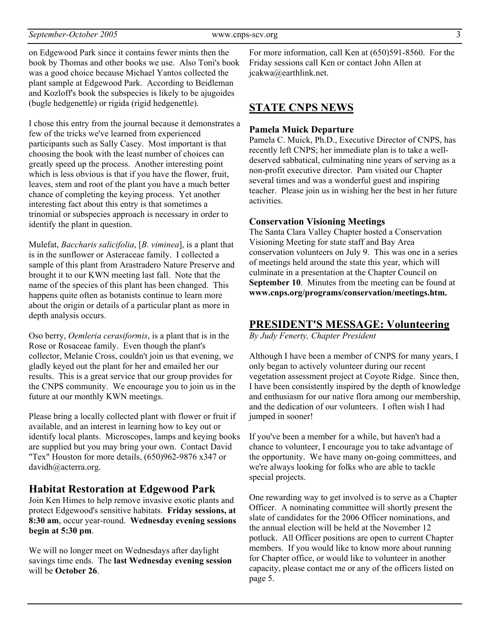on Edgewood Park since it contains fewer mints then the book by Thomas and other books we use. Also Toni's book was a good choice because Michael Yantos collected the plant sample at Edgewood Park. According to Beidleman and Kozloff's book the subspecies is likely to be ajugoides (bugle hedgenettle) or rigida (rigid hedgenettle).

I chose this entry from the journal because it demonstrates a few of the tricks we've learned from experienced participants such as Sally Casey. Most important is that choosing the book with the least number of choices can greatly speed up the process. Another interesting point which is less obvious is that if you have the flower, fruit, leaves, stem and root of the plant you have a much better chance of completing the keying process. Yet another interesting fact about this entry is that sometimes a trinomial or subspecies approach is necessary in order to identify the plant in question.

Mulefat, *Baccharis salicifolia*, [*B. viminea*], is a plant that is in the sunflower or Asteraceae family. I collected a sample of this plant from Arastradero Nature Preserve and brought it to our KWN meeting last fall. Note that the name of the species of this plant has been changed. This happens quite often as botanists continue to learn more about the origin or details of a particular plant as more in depth analysis occurs.

Oso berry, *Oemleria cerasiformis*, is a plant that is in the Rose or Rosaceae family. Even though the plant's collector, Melanie Cross, couldn't join us that evening, we gladly keyed out the plant for her and emailed her our results. This is a great service that our group provides for the CNPS community. We encourage you to join us in the future at our monthly KWN meetings.

Please bring a locally collected plant with flower or fruit if jumped in sooner! available, and an interest in learning how to key out or identify local plants. Microscopes, lamps and keying books are supplied but you may bring your own. Contact David "Tex" Houston for more details, (650)962-9876 x347 or davidh@acterra.org.

# **Habitat Restoration at Edgewood Park**<br>Loin Ken Himes to help remove invasive exotic plants and One rewarding way to get involved is to serve as a Chapter

Join Ken Himes to help remove invasive exotic plants and protect Edgewood's sensitive habitats. **Friday sessions, at 8:30 am**, occur year-round. **Wednesday evening sessions begin at 5:30 pm**.

We will no longer meet on Wednesdays after daylight savings time ends. The **last Wednesday evening session** will be **October 26**.

For more information, call Ken at (650)591-8560. For the Friday sessions call Ken or contact John Allen at jcakwa@earthlink.net.

# **STATE CNPS NEWS**

#### **Pamela Muick Departure**

Pamela C. Muick, Ph.D., Executive Director of CNPS, has recently left CNPS; her immediate plan is to take a welldeserved sabbatical, culminating nine years of serving as a non-profit executive director. Pam visited our Chapter several times and was a wonderful guest and inspiring teacher. Please join us in wishing her the best in her future activities.

#### **Conservation Visioning Meetings**

The Santa Clara Valley Chapter hosted a Conservation Visioning Meeting for state staff and Bay Area conservation volunteers on July 9. This was one in a series of meetings held around the state this year, which will culminate in a presentation at the Chapter Council on **September 10.** Minutes from the meeting can be found at **www.cnps.org/programs/conservation/meetings.htm.** 

## **PRESIDENT'S MESSAGE: Volunteering**

*By Judy Fenerty, Chapter President* 

Although I have been a member of CNPS for many years, I only began to actively volunteer during our recent vegetation assessment project at Coyote Ridge. Since then, I have been consistently inspired by the depth of knowledge and enthusiasm for our native flora among our membership, and the dedication of our volunteers. I often wish I had

If you've been a member for a while, but haven't had a chance to volunteer, I encourage you to take advantage of the opportunity. We have many on-going committees, and we're always looking for folks who are able to tackle special projects.

Officer. A nominating committee will shortly present the slate of candidates for the 2006 Officer nominations, and the annual election will be held at the November 12 potluck. All Officer positions are open to current Chapter members. If you would like to know more about running for Chapter office, or would like to volunteer in another capacity, please contact me or any of the officers listed on page 5.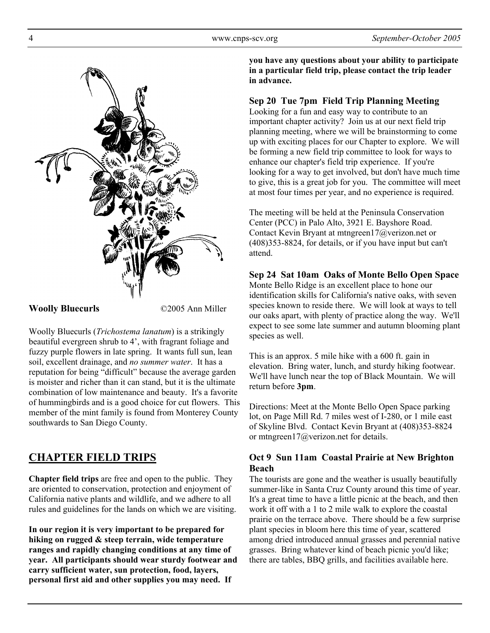

#### **Woolly Bluecurls** ©2005 Ann Miller

Woolly Bluecurls (*Trichostema lanatum*) is a strikingly beautiful evergreen shrub to 4', with fragrant foliage and fuzzy purple flowers in late spring. It wants full sun, lean soil, excellent drainage, and *no summer water*. It has a reputation for being "difficult" because the average garden is moister and richer than it can stand, but it is the ultimate combination of low maintenance and beauty. It's a favorite of hummingbirds and is a good choice for cut flowers. This member of the mint family is found from Monterey County southwards to San Diego County.

# **CHAPTER FIELD TRIPS**

**Chapter field trips** are free and open to the public. They are oriented to conservation, protection and enjoyment of California native plants and wildlife, and we adhere to all rules and guidelines for the lands on which we are visiting.

**In our region it is very important to be prepared for hiking on rugged & steep terrain, wide temperature ranges and rapidly changing conditions at any time of year. All participants should wear sturdy footwear and carry sufficient water, sun protection, food, layers, personal first aid and other supplies you may need. If** 

**you have any questions about your ability to participate in a particular field trip, please contact the trip leader in advance.** 

## **Sep 20 Tue 7pm Field Trip Planning Meeting**

Looking for a fun and easy way to contribute to an important chapter activity? Join us at our next field trip planning meeting, where we will be brainstorming to come up with exciting places for our Chapter to explore. We will be forming a new field trip committee to look for ways to enhance our chapter's field trip experience. If you're looking for a way to get involved, but don't have much time to give, this is a great job for you. The committee will meet at most four times per year, and no experience is required.

The meeting will be held at the Peninsula Conservation Center (PCC) in Palo Alto, 3921 E. Bayshore Road. Contact Kevin Bryant at mtngreen17@verizon.net or (408)353-8824, for details, or if you have input but can't attend.

# **Sep 24 Sat 10am Oaks of Monte Bello Open Space**

Monte Bello Ridge is an excellent place to hone our identification skills for California's native oaks, with seven species known to reside there. We will look at ways to tell our oaks apart, with plenty of practice along the way. We'll expect to see some late summer and autumn blooming plant species as well.

This is an approx. 5 mile hike with a 600 ft. gain in elevation. Bring water, lunch, and sturdy hiking footwear. We'll have lunch near the top of Black Mountain. We will return before **3pm**.

Directions: Meet at the Monte Bello Open Space parking lot, on Page Mill Rd. 7 miles west of I-280, or 1 mile east of Skyline Blvd. Contact Kevin Bryant at (408)353-8824 or mtngreen17@verizon.net for details.

#### **Oct 9 Sun 11am Coastal Prairie at New Brighton Beach**

The tourists are gone and the weather is usually beautifully summer-like in Santa Cruz County around this time of year. It's a great time to have a little picnic at the beach, and then work it off with a 1 to 2 mile walk to explore the coastal prairie on the terrace above. There should be a few surprise plant species in bloom here this time of year, scattered among dried introduced annual grasses and perennial native grasses. Bring whatever kind of beach picnic you'd like; there are tables, BBQ grills, and facilities available here.